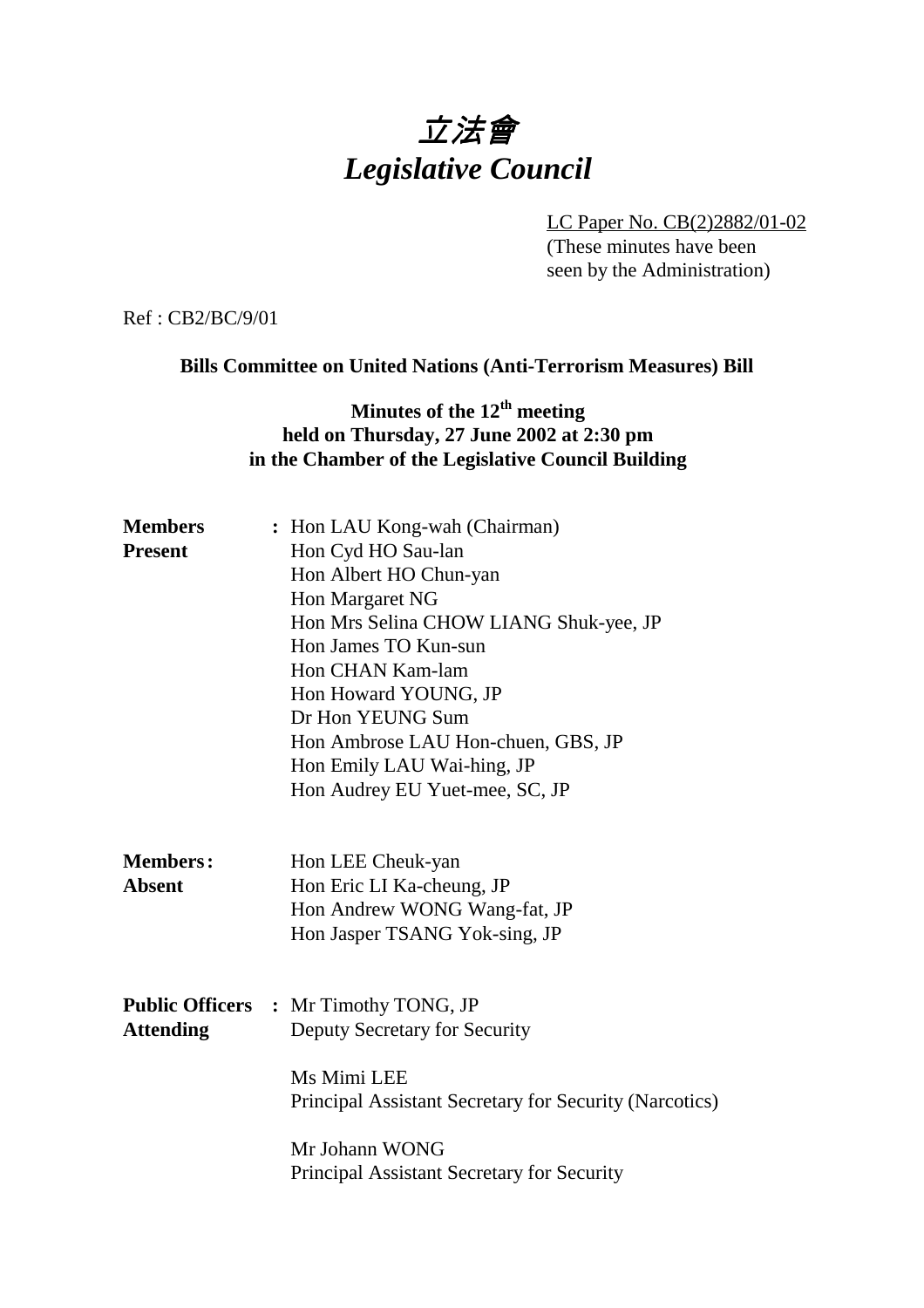# 立法會 *Legislative Council*

LC Paper No. CB(2)2882/01-02 (These minutes have been seen by the Administration)

Ref : CB2/BC/9/01

### **Bills Committee on United Nations (Anti-Terrorism Measures) Bill**

### **Minutes of the 12<sup>th</sup> meeting held on Thursday, 27 June 2002 at 2:30 pm in the Chamber of the Legislative Council Building**

| <b>Members</b>   | : Hon LAU Kong-wah (Chairman)                             |  |  |  |
|------------------|-----------------------------------------------------------|--|--|--|
| <b>Present</b>   | Hon Cyd HO Sau-lan                                        |  |  |  |
|                  | Hon Albert HO Chun-yan                                    |  |  |  |
|                  | Hon Margaret NG                                           |  |  |  |
|                  | Hon Mrs Selina CHOW LIANG Shuk-yee, JP                    |  |  |  |
|                  | Hon James TO Kun-sun                                      |  |  |  |
|                  | Hon CHAN Kam-lam                                          |  |  |  |
|                  | Hon Howard YOUNG, JP                                      |  |  |  |
|                  | Dr Hon YEUNG Sum                                          |  |  |  |
|                  | Hon Ambrose LAU Hon-chuen, GBS, JP                        |  |  |  |
|                  | Hon Emily LAU Wai-hing, JP                                |  |  |  |
|                  | Hon Audrey EU Yuet-mee, SC, JP                            |  |  |  |
| <b>Members:</b>  |                                                           |  |  |  |
| <b>Absent</b>    | Hon LEE Cheuk-yan                                         |  |  |  |
|                  | Hon Eric LI Ka-cheung, JP<br>Hon Andrew WONG Wang-fat, JP |  |  |  |
|                  | Hon Jasper TSANG Yok-sing, JP                             |  |  |  |
|                  |                                                           |  |  |  |
|                  | <b>Public Officers : Mr Timothy TONG, JP</b>              |  |  |  |
| <b>Attending</b> | Deputy Secretary for Security                             |  |  |  |
|                  | Ms Mimi LEE                                               |  |  |  |
|                  | Principal Assistant Secretary for Security (Narcotics)    |  |  |  |
|                  | Mr Johann WONG                                            |  |  |  |
|                  | Principal Assistant Secretary for Security                |  |  |  |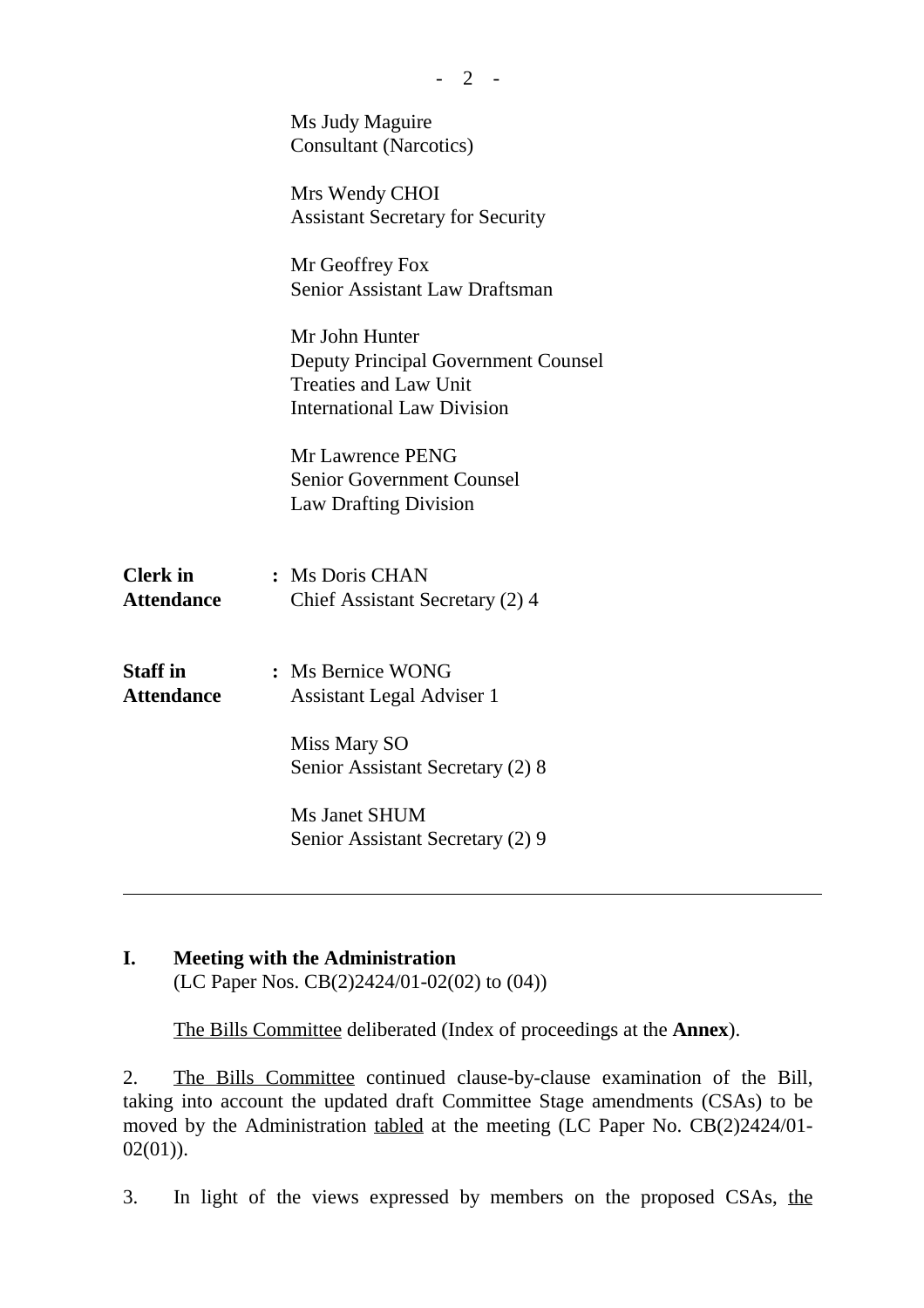|                                      | Ms Judy Maguire<br><b>Consultant (Narcotics)</b>                                                                                  |
|--------------------------------------|-----------------------------------------------------------------------------------------------------------------------------------|
|                                      | Mrs Wendy CHOI<br><b>Assistant Secretary for Security</b>                                                                         |
|                                      | Mr Geoffrey Fox<br>Senior Assistant Law Draftsman                                                                                 |
|                                      | Mr John Hunter<br><b>Deputy Principal Government Counsel</b><br><b>Treaties and Law Unit</b><br><b>International Law Division</b> |
|                                      | Mr Lawrence PENG<br><b>Senior Government Counsel</b><br><b>Law Drafting Division</b>                                              |
| <b>Clerk</b> in<br><b>Attendance</b> | : Ms Doris CHAN<br>Chief Assistant Secretary (2) 4                                                                                |
| <b>Staff</b> in<br><b>Attendance</b> | : Ms Bernice WONG<br><b>Assistant Legal Adviser 1</b>                                                                             |
|                                      | Miss Mary SO<br>Senior Assistant Secretary (2) 8                                                                                  |
|                                      | Ms Janet SHUM<br>Senior Assistant Secretary (2) 9                                                                                 |
|                                      |                                                                                                                                   |

## **I. Meeting with the Administration**

(LC Paper Nos. CB(2)2424/01-02(02) to (04))

The Bills Committee deliberated (Index of proceedings at the **Annex**).

2. The Bills Committee continued clause-by-clause examination of the Bill, taking into account the updated draft Committee Stage amendments (CSAs) to be moved by the Administration tabled at the meeting (LC Paper No. CB(2)2424/01-  $02(01)$ ).

3. In light of the views expressed by members on the proposed CSAs, the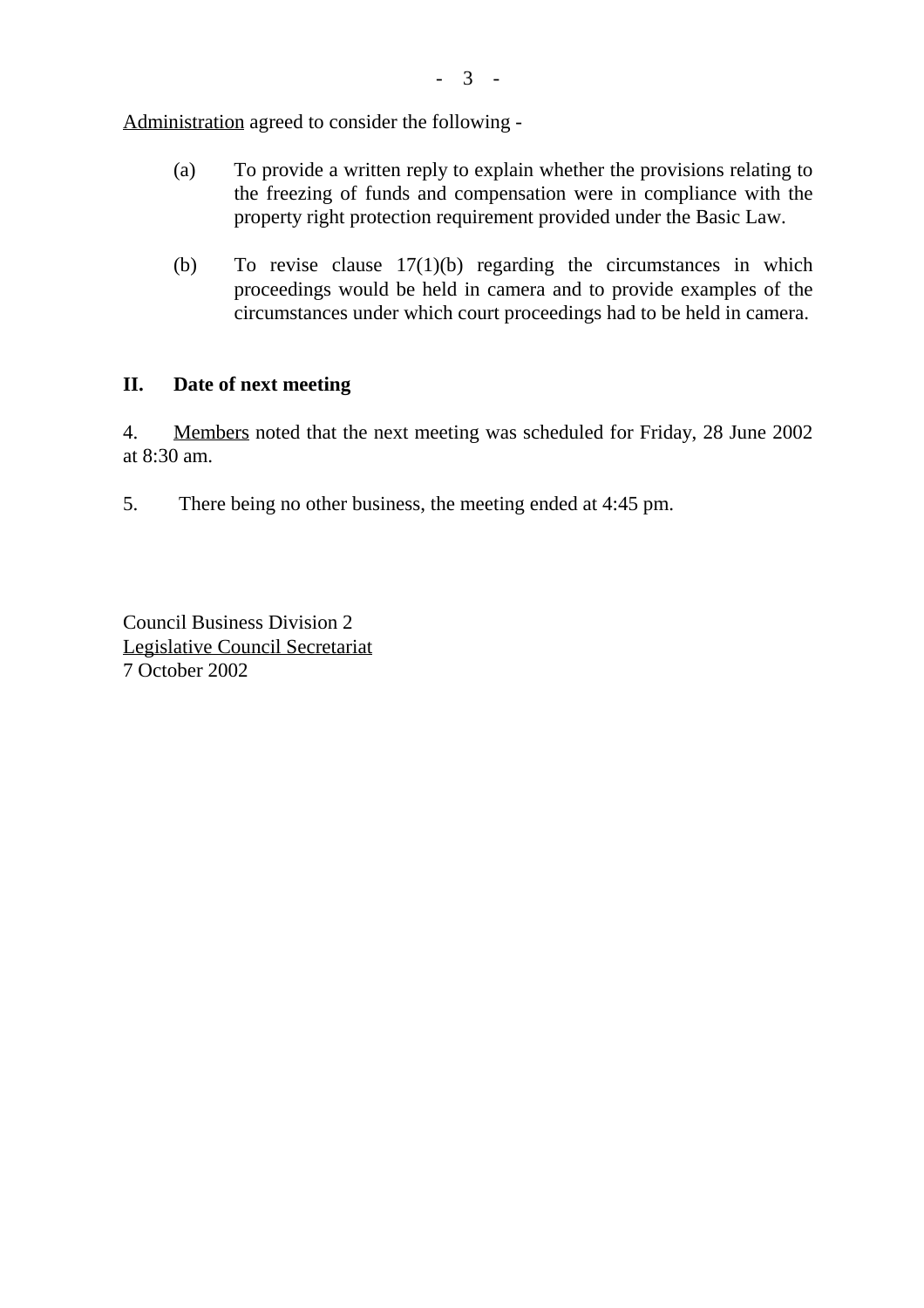Administration agreed to consider the following -

- (a) To provide a written reply to explain whether the provisions relating to the freezing of funds and compensation were in compliance with the property right protection requirement provided under the Basic Law.
- (b) To revise clause 17(1)(b) regarding the circumstances in which proceedings would be held in camera and to provide examples of the circumstances under which court proceedings had to be held in camera.

#### **II. Date of next meeting**

4. Members noted that the next meeting was scheduled for Friday, 28 June 2002 at 8:30 am.

5. There being no other business, the meeting ended at 4:45 pm.

Council Business Division 2 Legislative Council Secretariat 7 October 2002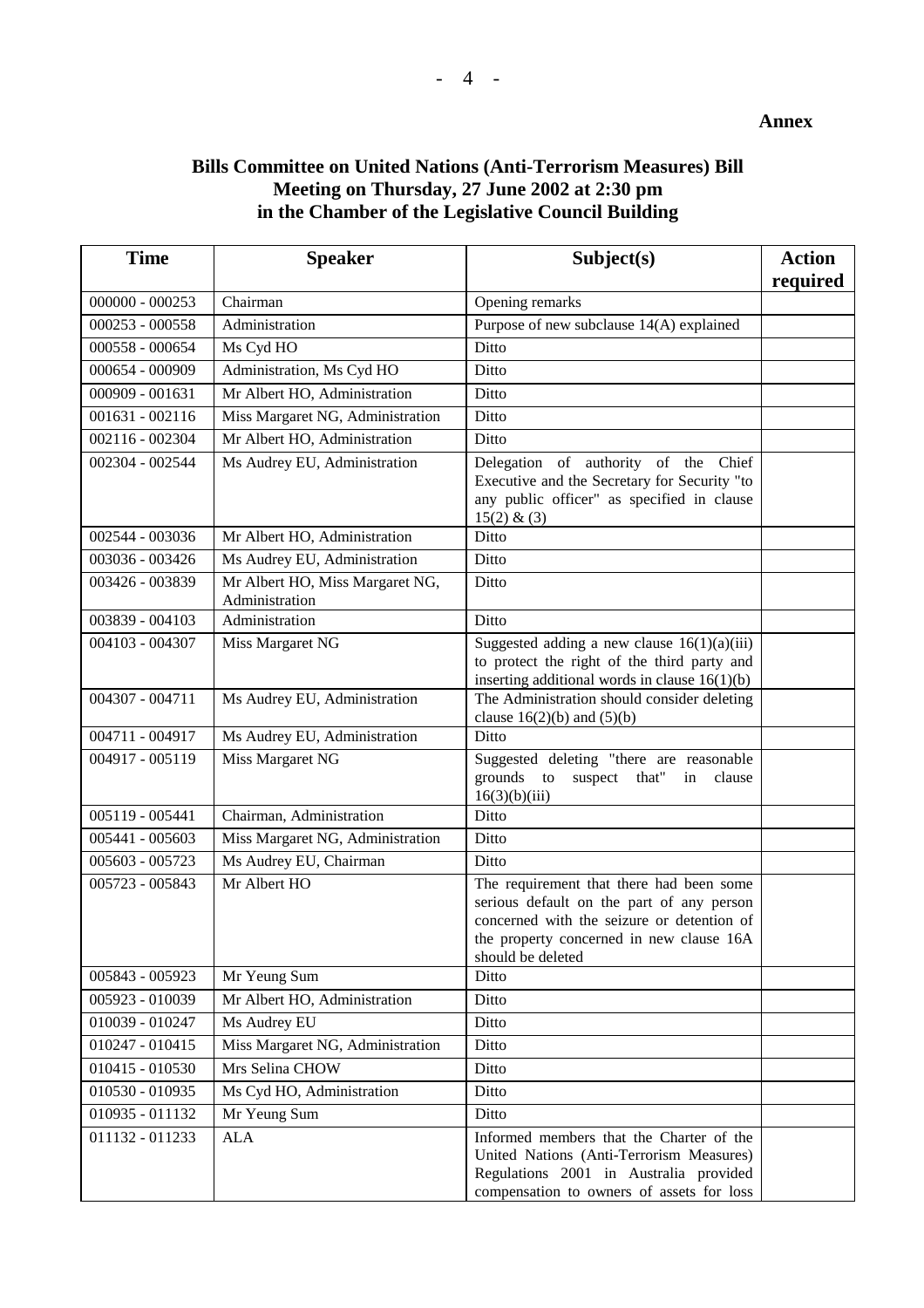### **Bills Committee on United Nations (Anti-Terrorism Measures) Bill Meeting on Thursday, 27 June 2002 at 2:30 pm in the Chamber of the Legislative Council Building**

| <b>Time</b>       | <b>Speaker</b>                                    | Subject(s)                                                                                                                                                                                           | <b>Action</b><br>required |
|-------------------|---------------------------------------------------|------------------------------------------------------------------------------------------------------------------------------------------------------------------------------------------------------|---------------------------|
| $000000 - 000253$ | Chairman                                          | Opening remarks                                                                                                                                                                                      |                           |
| 000253 - 000558   | Administration                                    | Purpose of new subclause 14(A) explained                                                                                                                                                             |                           |
| 000558 - 000654   | Ms Cyd HO                                         | Ditto                                                                                                                                                                                                |                           |
| 000654 - 000909   | Administration, Ms Cyd HO                         | Ditto                                                                                                                                                                                                |                           |
| 000909 - 001631   | Mr Albert HO, Administration                      | Ditto                                                                                                                                                                                                |                           |
| $001631 - 002116$ | Miss Margaret NG, Administration                  | Ditto                                                                                                                                                                                                |                           |
| 002116 - 002304   | Mr Albert HO, Administration                      | Ditto                                                                                                                                                                                                |                           |
| 002304 - 002544   | Ms Audrey EU, Administration                      | Delegation of authority of the Chief<br>Executive and the Secretary for Security "to<br>any public officer" as specified in clause<br>15(2) & (3)                                                    |                           |
| 002544 - 003036   | Mr Albert HO, Administration                      | Ditto                                                                                                                                                                                                |                           |
| 003036 - 003426   | Ms Audrey EU, Administration                      | Ditto                                                                                                                                                                                                |                           |
| 003426 - 003839   | Mr Albert HO, Miss Margaret NG,<br>Administration | Ditto                                                                                                                                                                                                |                           |
| 003839 - 004103   | Administration                                    | Ditto                                                                                                                                                                                                |                           |
| 004103 - 004307   | Miss Margaret NG                                  | Suggested adding a new clause $16(1)(a)(iii)$<br>to protect the right of the third party and<br>inserting additional words in clause $16(1)(b)$                                                      |                           |
| 004307 - 004711   | Ms Audrey EU, Administration                      | The Administration should consider deleting<br>clause $16(2)(b)$ and $(5)(b)$                                                                                                                        |                           |
| 004711 - 004917   | Ms Audrey EU, Administration                      | Ditto                                                                                                                                                                                                |                           |
| 004917 - 005119   | Miss Margaret NG                                  | Suggested deleting "there are reasonable<br>grounds to<br>suspect that" in<br>clause<br>16(3)(b)(iii)                                                                                                |                           |
| 005119 - 005441   | Chairman, Administration                          | Ditto                                                                                                                                                                                                |                           |
| 005441 - 005603   | Miss Margaret NG, Administration                  | Ditto                                                                                                                                                                                                |                           |
| 005603 - 005723   | Ms Audrey EU, Chairman                            | Ditto                                                                                                                                                                                                |                           |
| 005723 - 005843   | Mr Albert HO                                      | The requirement that there had been some<br>serious default on the part of any person<br>concerned with the seizure or detention of<br>the property concerned in new clause 16A<br>should be deleted |                           |
| 005843 - 005923   | Mr Yeung Sum                                      | Ditto                                                                                                                                                                                                |                           |
| 005923 - 010039   | Mr Albert HO, Administration                      | Ditto                                                                                                                                                                                                |                           |
| 010039 - 010247   | Ms Audrey EU                                      | Ditto                                                                                                                                                                                                |                           |
| 010247 - 010415   | Miss Margaret NG, Administration                  | Ditto                                                                                                                                                                                                |                           |
| 010415 - 010530   | Mrs Selina CHOW                                   | Ditto                                                                                                                                                                                                |                           |
| 010530 - 010935   | Ms Cyd HO, Administration                         | Ditto                                                                                                                                                                                                |                           |
| 010935 - 011132   | Mr Yeung Sum                                      | Ditto                                                                                                                                                                                                |                           |
| 011132 - 011233   | <b>ALA</b>                                        | Informed members that the Charter of the<br>United Nations (Anti-Terrorism Measures)<br>Regulations 2001 in Australia provided<br>compensation to owners of assets for loss                          |                           |